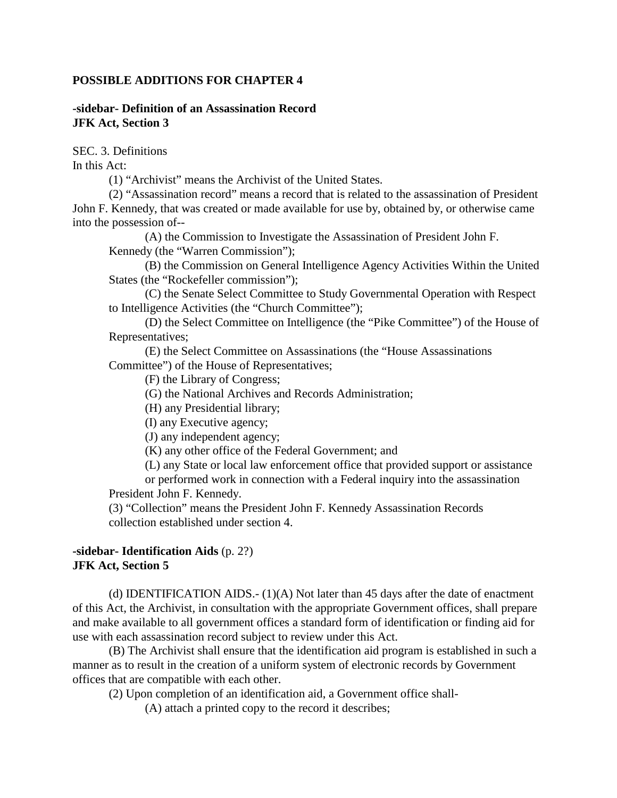### **POSSIBLE ADDITIONS FOR CHAPTER 4**

## **-sidebar- Definition of an Assassination Record JFK Act, Section 3**

SEC. 3. Definitions

In this Act:

(1) "Archivist" means the Archivist of the United States.

(2) "Assassination record" means a record that is related to the assassination of President John F. Kennedy, that was created or made available for use by, obtained by, or otherwise came into the possession of--

(A) the Commission to Investigate the Assassination of President John F. Kennedy (the "Warren Commission");

(B) the Commission on General Intelligence Agency Activities Within the United States (the "Rockefeller commission");

(C) the Senate Select Committee to Study Governmental Operation with Respect to Intelligence Activities (the "Church Committee");

(D) the Select Committee on Intelligence (the "Pike Committee") of the House of Representatives;

(E) the Select Committee on Assassinations (the "House Assassinations Committee") of the House of Representatives;

(F) the Library of Congress;

(G) the National Archives and Records Administration;

(H) any Presidential library;

(I) any Executive agency;

(J) any independent agency;

(K) any other office of the Federal Government; and

(L) any State or local law enforcement office that provided support or assistance

or performed work in connection with a Federal inquiry into the assassination President John F. Kennedy.

(3) "Collection" means the President John F. Kennedy Assassination Records collection established under section 4.

# **-sidebar- Identification Aids** (p. 2?) **JFK Act, Section 5**

(d) IDENTIFICATION AIDS.-  $(1)(A)$  Not later than 45 days after the date of enactment of this Act, the Archivist, in consultation with the appropriate Government offices, shall prepare and make available to all government offices a standard form of identification or finding aid for use with each assassination record subject to review under this Act.

(B) The Archivist shall ensure that the identification aid program is established in such a manner as to result in the creation of a uniform system of electronic records by Government offices that are compatible with each other.

(2) Upon completion of an identification aid, a Government office shall-

(A) attach a printed copy to the record it describes;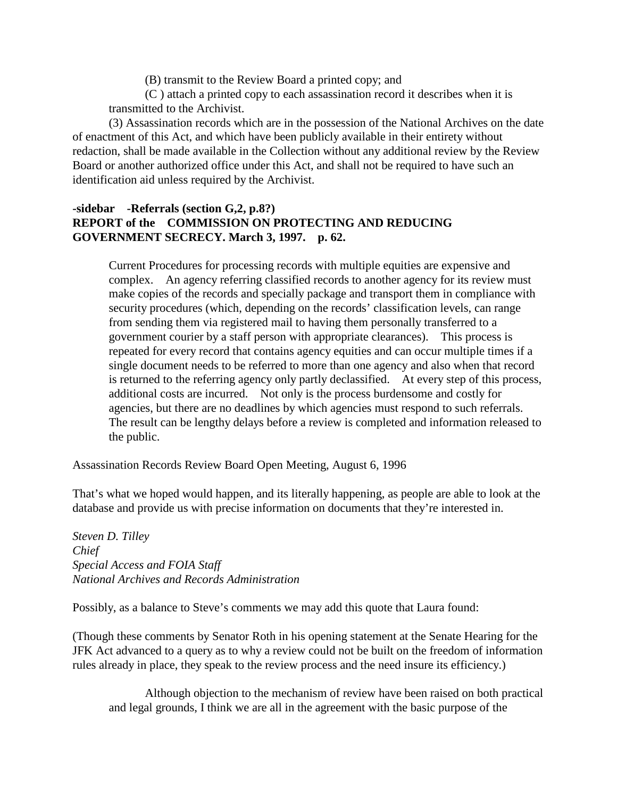(B) transmit to the Review Board a printed copy; and

(C ) attach a printed copy to each assassination record it describes when it is transmitted to the Archivist.

(3) Assassination records which are in the possession of the National Archives on the date of enactment of this Act, and which have been publicly available in their entirety without redaction, shall be made available in the Collection without any additional review by the Review Board or another authorized office under this Act, and shall not be required to have such an identification aid unless required by the Archivist.

# **-sidebar -Referrals (section G,2, p.8?) REPORT of the COMMISSION ON PROTECTING AND REDUCING GOVERNMENT SECRECY. March 3, 1997. p. 62.**

Current Procedures for processing records with multiple equities are expensive and complex. An agency referring classified records to another agency for its review must make copies of the records and specially package and transport them in compliance with security procedures (which, depending on the records' classification levels, can range from sending them via registered mail to having them personally transferred to a government courier by a staff person with appropriate clearances). This process is repeated for every record that contains agency equities and can occur multiple times if a single document needs to be referred to more than one agency and also when that record is returned to the referring agency only partly declassified. At every step of this process, additional costs are incurred. Not only is the process burdensome and costly for agencies, but there are no deadlines by which agencies must respond to such referrals. The result can be lengthy delays before a review is completed and information released to the public.

Assassination Records Review Board Open Meeting, August 6, 1996

That's what we hoped would happen, and its literally happening, as people are able to look at the database and provide us with precise information on documents that they're interested in.

*Steven D. Tilley Chief Special Access and FOIA Staff National Archives and Records Administration*

Possibly, as a balance to Steve's comments we may add this quote that Laura found:

(Though these comments by Senator Roth in his opening statement at the Senate Hearing for the JFK Act advanced to a query as to why a review could not be built on the freedom of information rules already in place, they speak to the review process and the need insure its efficiency.)

Although objection to the mechanism of review have been raised on both practical and legal grounds, I think we are all in the agreement with the basic purpose of the